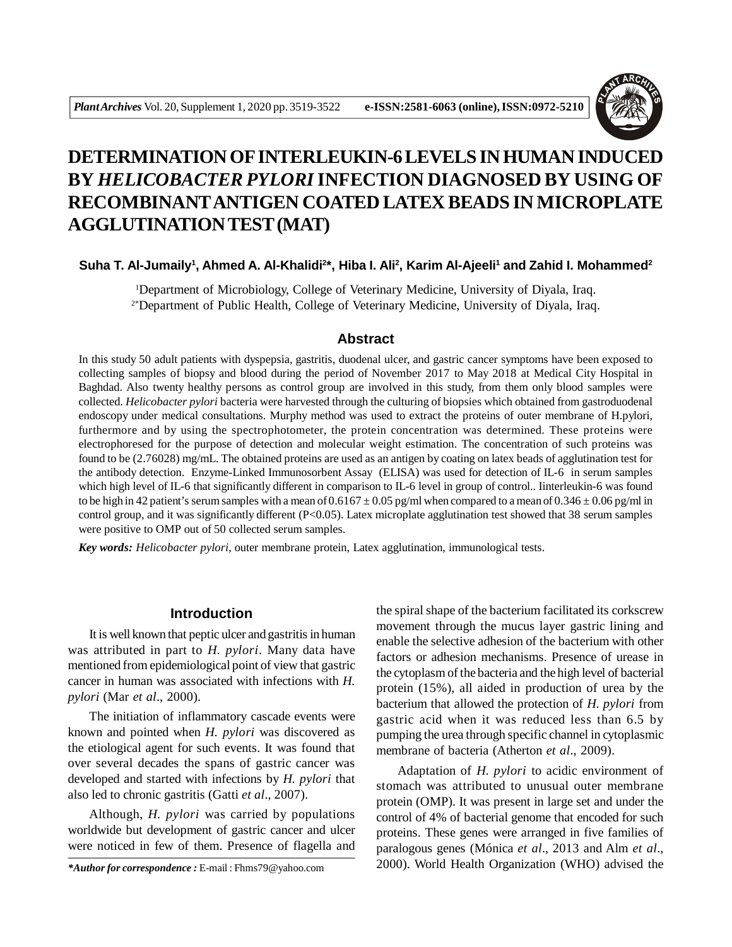

# **DETERMINATION OF INTERLEUKIN-6 LEVELS IN HUMAN INDUCED BY** *HELICOBACTER PYLORI* **INFECTION DIAGNOSED BY USING OF RECOMBINANTANTIGEN COATED LATEX BEADS IN MICROPLATE AGGLUTINATION TEST (MAT)**

# **Suha T. Al-Jumaily<sup>1</sup> , Ahmed A. Al-Khalidi<sup>2</sup> \*, Hiba I. Ali<sup>2</sup> , Karim Al-Ajeeli<sup>1</sup> and Zahid I. Mohammed<sup>2</sup>**

<sup>1</sup>Department of Microbiology, College of Veterinary Medicine, University of Diyala, Iraq. 2\*Department of Public Health, College of Veterinary Medicine, University of Diyala, Iraq.

# **Abstract**

In this study 50 adult patients with dyspepsia, gastritis, duodenal ulcer, and gastric cancer symptoms have been exposed to collecting samples of biopsy and blood during the period of November 2017 to May 2018 at Medical City Hospital in Baghdad. Also twenty healthy persons as control group are involved in this study, from them only blood samples were collected. *Helicobacter pylori* bacteria were harvested through the culturing of biopsies which obtained from gastroduodenal endoscopy under medical consultations. Murphy method was used to extract the proteins of outer membrane of H.pylori, furthermore and by using the spectrophotometer, the protein concentration was determined. These proteins were electrophoresed for the purpose of detection and molecular weight estimation. The concentration of such proteins was found to be (2.76028) mg/mL. The obtained proteins are used as an antigen by coating on latex beads of agglutination test for the antibody detection. Enzyme-Linked Immunosorbent Assay (ELISA) was used for detection of IL-6 in serum samples which high level of IL-6 that significantly different in comparison to IL-6 level in group of control.. Iinterleukin-6 was found to be high in 42 patient's serum samples with a mean of  $0.6167 \pm 0.05$  pg/ml when compared to a mean of  $0.346 \pm 0.06$  pg/ml in control group, and it was significantly different (P<0.05). Latex microplate agglutination test showed that 38 serum samples were positive to OMP out of 50 collected serum samples.

*Key words: Helicobacter pylori*, outer membrane protein, Latex agglutination, immunological tests.

# **Introduction**

It is well known that peptic ulcer and gastritis in human was attributed in part to *H. pylori*. Many data have mentioned from epidemiological point of view that gastric cancer in human was associated with infections with *H. pylori* (Mar *et al*., 2000).

The initiation of inflammatory cascade events were known and pointed when *H. pylori* was discovered as the etiological agent for such events. It was found that over several decades the spans of gastric cancer was developed and started with infections by *H. pylori* that also led to chronic gastritis (Gatti *et al*., 2007).

Although, *H. pylori* was carried by populations worldwide but development of gastric cancer and ulcer were noticed in few of them. Presence of flagella and

the spiral shape of the bacterium facilitated its corkscrew movement through the mucus layer gastric lining and enable the selective adhesion of the bacterium with other factors or adhesion mechanisms. Presence of urease in the cytoplasm of the bacteria and the high level of bacterial protein (15%), all aided in production of urea by the bacterium that allowed the protection of *H. pylori* from gastric acid when it was reduced less than 6.5 by pumping the urea through specific channel in cytoplasmic membrane of bacteria (Atherton *et al*., 2009).

Adaptation of *H. pylori* to acidic environment of stomach was attributed to unusual outer membrane protein (OMP). It was present in large set and under the control of 4% of bacterial genome that encoded for such proteins. These genes were arranged in five families of paralogous genes (Mónica *et al*., 2013 and Alm *et al*., 2000). World Health Organization (WHO) advised the *\*Author for correspondence :* E-mail : Fhms79@yahoo.com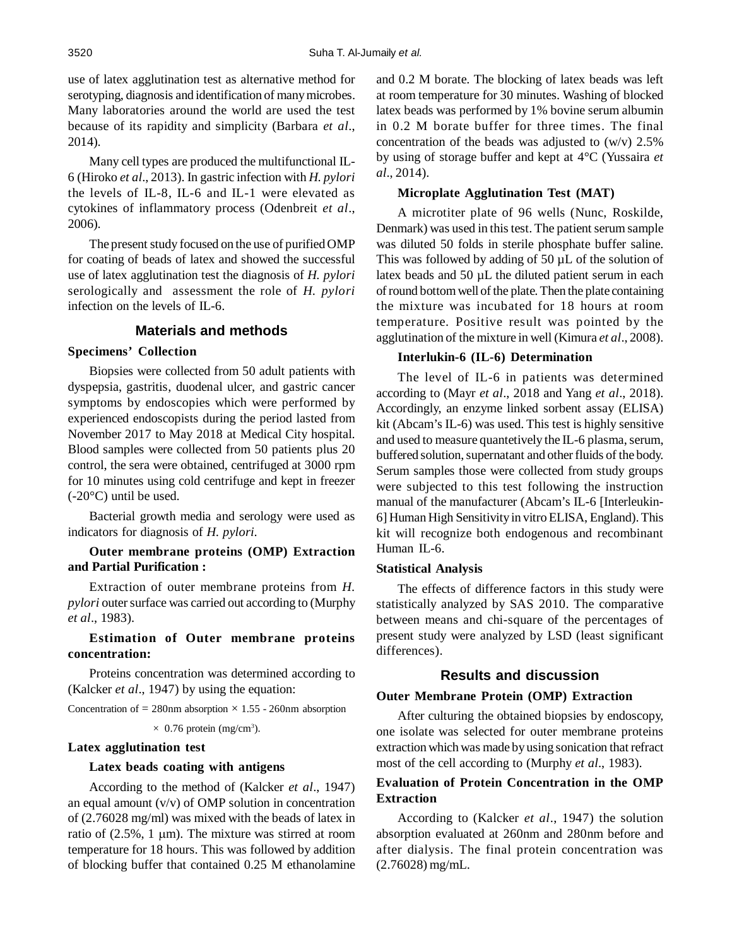use of latex agglutination test as alternative method for serotyping, diagnosis and identification of many microbes. Many laboratories around the world are used the test because of its rapidity and simplicity (Barbara *et al*., 2014).

Many cell types are produced the multifunctional IL-6 (Hiroko *et al*., 2013). In gastric infection with *H. pylori* the levels of IL-8, IL-6 and IL-1 were elevated as cytokines of inflammatory process (Odenbreit *et al*., 2006).

The present study focused on the use of purified OMP for coating of beads of latex and showed the successful use of latex agglutination test the diagnosis of *H. pylori* serologically and assessment the role of *H. pylori* infection on the levels of IL-6.

## **Materials and methods**

# **Specimens' Collection**

Biopsies were collected from 50 adult patients with dyspepsia, gastritis, duodenal ulcer, and gastric cancer symptoms by endoscopies which were performed by experienced endoscopists during the period lasted from November 2017 to May 2018 at Medical City hospital. Blood samples were collected from 50 patients plus 20 control, the sera were obtained, centrifuged at 3000 rpm for 10 minutes using cold centrifuge and kept in freezer  $(-20^{\circ}C)$  until be used.

Bacterial growth media and serology were used as indicators for diagnosis of *H. pylori.*

# **Outer membrane proteins (OMP) Extraction and Partial Purification :**

Extraction of outer membrane proteins from *H. pylori* outer surface was carried out according to (Murphy *et al*., 1983).

# **Estimation of Outer membrane proteins concentration:**

Proteins concentration was determined according to (Kalcker *et al*., 1947) by using the equation:

Concentration of  $= 280$ nm absorption  $\times$  1.55 - 260nm absorption

 $\times$  0.76 protein (mg/cm<sup>3</sup>).

#### **Latex agglutination test**

#### **Latex beads coating with antigens**

According to the method of (Kalcker *et al*., 1947) an equal amount (v/v) of OMP solution in concentration of (2.76028 mg/ml) was mixed with the beads of latex in ratio of  $(2.5\%, 1 \mu m)$ . The mixture was stirred at room temperature for 18 hours. This was followed by addition of blocking buffer that contained 0.25 M ethanolamine

and 0.2 M borate. The blocking of latex beads was left at room temperature for 30 minutes. Washing of blocked latex beads was performed by 1% bovine serum albumin in 0.2 M borate buffer for three times. The final concentration of the beads was adjusted to  $(w/v)$  2.5% by using of storage buffer and kept at 4°C (Yussaira *et al*., 2014).

# **Microplate Agglutination Test (MAT)**

A microtiter plate of 96 wells (Nunc, Roskilde, Denmark) was used in this test. The patient serum sample was diluted 50 folds in sterile phosphate buffer saline. This was followed by adding of 50 µL of the solution of latex beads and 50 µL the diluted patient serum in each of round bottom well of the plate. Then the plate containing the mixture was incubated for 18 hours at room temperature. Positive result was pointed by the agglutination of the mixture in well (Kimura *et al*., 2008).

#### **Interlukin-6 (IL-6) Determination**

The level of IL-6 in patients was determined according to (Mayr *et al*., 2018 and Yang *et al*., 2018). Accordingly, an enzyme linked sorbent assay (ELISA) kit (Abcam's IL-6) was used. This test is highly sensitive and used to measure quantetively the IL-6 plasma, serum, buffered solution, supernatant and other fluids of the body. Serum samples those were collected from study groups were subjected to this test following the instruction manual of the manufacturer (Abcam's IL-6 [Interleukin-6] Human High Sensitivity in vitro ELISA, England). This kit will recognize both endogenous and recombinant Human IL-6.

#### **Statistical Analysis**

The effects of difference factors in this study were statistically analyzed by SAS 2010. The comparative between means and chi-square of the percentages of present study were analyzed by LSD (least significant differences).

#### **Results and discussion**

#### **Outer Membrane Protein (OMP) Extraction**

After culturing the obtained biopsies by endoscopy, one isolate was selected for outer membrane proteins extraction which was made by using sonication that refract most of the cell according to (Murphy *et al*., 1983).

# **Evaluation of Protein Concentration in the OMP Extraction**

According to (Kalcker *et al*., 1947) the solution absorption evaluated at 260nm and 280nm before and after dialysis. The final protein concentration was (2.76028) mg/mL.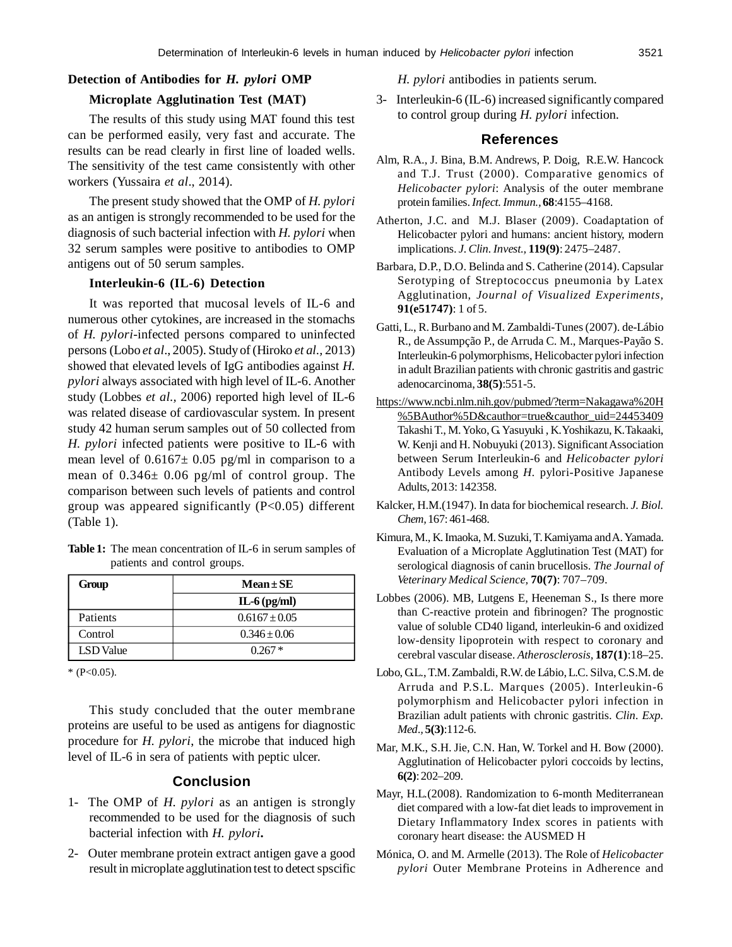## **Detection of Antibodies for** *H. pylori* **OMP**

## **Microplate Agglutination Test (MAT)**

The results of this study using MAT found this test can be performed easily, very fast and accurate. The results can be read clearly in first line of loaded wells. The sensitivity of the test came consistently with other workers (Yussaira *et al*., 2014).

The present study showed that the OMP of *H. pylori* as an antigen is strongly recommended to be used for the diagnosis of such bacterial infection with *H. pylori* when 32 serum samples were positive to antibodies to OMP antigens out of 50 serum samples.

#### **Interleukin-6 (IL-6) Detection**

It was reported that mucosal levels of IL-6 and numerous other cytokines, are increased in the stomachs of *H. pylori*-infected persons compared to uninfected persons (Lobo *et al*., 2005). Study of (Hiroko *et al.,* 2013) showed that elevated levels of IgG antibodies against *H. pylori* always associated with high level of IL-6. Another study (Lobbes *et al.,* 2006) reported high level of IL-6 was related disease of cardiovascular system. In present study 42 human serum samples out of 50 collected from *H. pylori* infected patients were positive to IL-6 with mean level of  $0.6167 \pm 0.05$  pg/ml in comparison to a mean of  $0.346 \pm 0.06$  pg/ml of control group. The comparison between such levels of patients and control group was appeared significantly (P<0.05) different (Table 1).

| Table 1: The mean concentration of IL-6 in serum samples of |
|-------------------------------------------------------------|
| patients and control groups.                                |

| Group            | $Mean \pm SE$     |
|------------------|-------------------|
|                  | $IL-6$ (pg/ml)    |
| Patients         | $0.6167 \pm 0.05$ |
| Control          | $0.346 \pm 0.06$  |
| <b>LSD</b> Value | $0.267*$          |

 $*$  (P<0.05).

This study concluded that the outer membrane proteins are useful to be used as antigens for diagnostic procedure for *H. pylori*, the microbe that induced high level of IL-6 in sera of patients with peptic ulcer.

# **Conclusion**

- 1- The OMP of *H. pylori* as an antigen is strongly recommended to be used for the diagnosis of such bacterial infection with *H. pylori***.**
- 2- Outer membrane protein extract antigen gave a good result in microplate agglutination test to detect spscific

*H. pylori* antibodies in patients serum.

3- Interleukin-6 (IL-6) increased significantly compared to control group during *H. pylori* infection.

# **References**

- Alm, R.A., J. Bina, B.M. Andrews, P. Doig, R.E.W. Hancock and T.J. Trust (2000). Comparative genomics of *Helicobacter pylori*: Analysis of the outer membrane protein families. *Infect. Immun.,***68**:4155–4168.
- Atherton, J.C. and M.J. Blaser (2009). Coadaptation of Helicobacter pylori and humans: ancient history, modern implications. *J. Clin. Invest.,* **119(9)**: 2475–2487.
- Barbara, D.P., D.O. Belinda and S. Catherine (2014). Capsular Serotyping of Streptococcus pneumonia by Latex Agglutination, *Journal of Visualized Experiments,* **91(e51747)**: 1 of 5.
- Gatti, L., R. Burbano and M. Zambaldi-Tunes (2007). de-Lábio R., de Assumpção P., de Arruda C. M., Marques-Payão S. Interleukin-6 polymorphisms, Helicobacter pylori infection in adult Brazilian patients with chronic gastritis and gastric adenocarcinoma, **38(5)**:551-5.
- https://www.ncbi.nlm.nih.gov/pubmed/?term=Nakagawa%20H %5BAuthor%5D&cauthor=true&cauthor\_uid=24453409 Takashi T., M. Yoko, G. Yasuyuki , K.Yoshikazu, K.Takaaki, W. Kenji and H. Nobuyuki (2013). Significant Association between Serum Interleukin-6 and *Helicobacter pylori* Antibody Levels among *H.* pylori-Positive Japanese Adults, 2013: 142358.
- Kalcker, H.M.(1947). In data for biochemical research. *J. Biol. Chem,* 167: 461-468.
- Kimura, M., K. Imaoka, M. Suzuki, T. Kamiyama and A. Yamada. Evaluation of a Microplate Agglutination Test (MAT) for serological diagnosis of canin brucellosis. *The Journal of Veterinary Medical Science,* **70(7)**: 707–709.
- Lobbes (2006). MB, Lutgens E, Heeneman S., Is there more than C-reactive protein and fibrinogen? The prognostic value of soluble CD40 ligand, interleukin-6 and oxidized low-density lipoprotein with respect to coronary and cerebral vascular disease. *Atherosclerosis,* **187(1)**:18–25.
- Lobo, G.L., T.M. Zambaldi, R.W. de Lábio, L.C. Silva, C.S.M. de Arruda and P.S.L. Marques (2005). Interleukin-6 polymorphism and Helicobacter pylori infection in Brazilian adult patients with chronic gastritis. *Clin. Exp. Med.,* **5(3)**:112-6.
- Mar, M.K., S.H. Jie, C.N. Han, W. Torkel and H. Bow (2000). Agglutination of Helicobacter pylori coccoids by lectins, **6(2)**: 202–209.
- Mayr, H.L*.*(2008). Randomization to 6-month Mediterranean diet compared with a low-fat diet leads to improvement in Dietary Inflammatory Index scores in patients with coronary heart disease: the AUSMED H
- Mónica, O. and M. Armelle (2013). The Role of *Helicobacter pylori* Outer Membrane Proteins in Adherence and